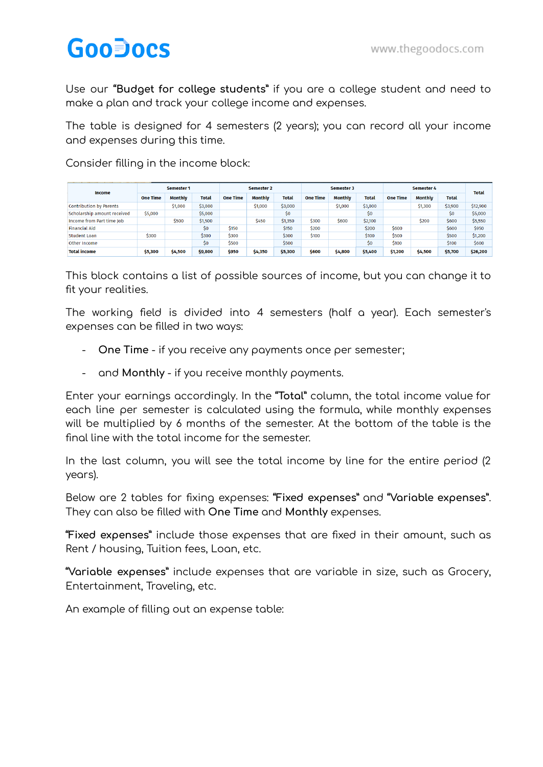## **GooDocs**

Use our **"Budget for college students"** if you are a college student and need to make a plan and track your college income and expenses.

The table is designed for 4 semesters (2 years); you can record all your income and expenses during this time.

Consider filling in the income block:

| Income                      | Semester 1      |                |         | Semester 2      |                |              | Semester 3      |                |         | Semester 4      |                |         | <b>Total</b> |
|-----------------------------|-----------------|----------------|---------|-----------------|----------------|--------------|-----------------|----------------|---------|-----------------|----------------|---------|--------------|
|                             | <b>One Time</b> | <b>Monthly</b> | Total   | <b>One Time</b> | <b>Monthly</b> | <b>Total</b> | <b>One Time</b> | <b>Monthly</b> | Total   | <b>One Time</b> | <b>Monthly</b> | Total   |              |
| Contribution by Parents     |                 | \$1,000        | \$3,000 |                 | \$1,000        | \$3,000      |                 | \$1,000        | \$3,000 |                 | \$1,300        | \$3,900 | \$12,900     |
| Scholarship amount received | \$5,000         |                | \$5,000 |                 |                | \$0          |                 |                | \$0     |                 |                | \$0     | \$5,000      |
| Income from Part time Job   |                 | \$500          | \$1,500 |                 | \$450          | \$1,350      | \$300           | \$600          | \$2,100 |                 | \$200          | \$600   | \$5,550      |
| <b>Financial Aid</b>        |                 |                | \$0     | \$150           |                | \$150        | \$200           |                | \$200   | \$600           |                | \$600   | \$950        |
| <b>Student Loan</b>         | \$300           |                | \$300   | \$300           |                | \$300        | \$100           |                | \$100   | \$500           |                | \$500   | \$1,200      |
| Other Income                |                 |                | \$0     | \$500           |                | \$500        |                 |                | \$0     | \$100           |                | \$100   | \$600        |
| <b>Total income</b>         | \$5,300         | \$4,500        | \$9,800 | \$950           | \$4,350        | \$5,300      | \$600           | \$4,800        | \$5,400 | \$1,200         | \$4,500        | \$5,700 | \$26,200     |

This block contains a list of possible sources of income, but you can change it to fit your realities.

The working field is divided into 4 semesters (half a year). Each semester's expenses can be filled in two ways:

- **One Time** if you receive any payments once per semester;
- and **Monthly** if you receive monthly payments.

Enter your earnings accordingly. In the **"Total"** column, the total income value for each line per semester is calculated using the formula, while monthly expenses will be multiplied by 6 months of the semester. At the bottom of the table is the final line with the total income for the semester.

In the last column, you will see the total income by line for the entire period (2 years).

Below are 2 tables for fixing expenses: **"Fixed expenses"** and **"Variable expenses"**. They can also be filled with **One Time** and **Monthly** expenses.

**"Fixed expenses"** include those expenses that are fixed in their amount, such as Rent / housing, Tuition fees, Loan, etc.

**"Variable expenses"** include expenses that are variable in size, such as Grocery, Entertainment, Traveling, etc.

An example of filling out an expense table: